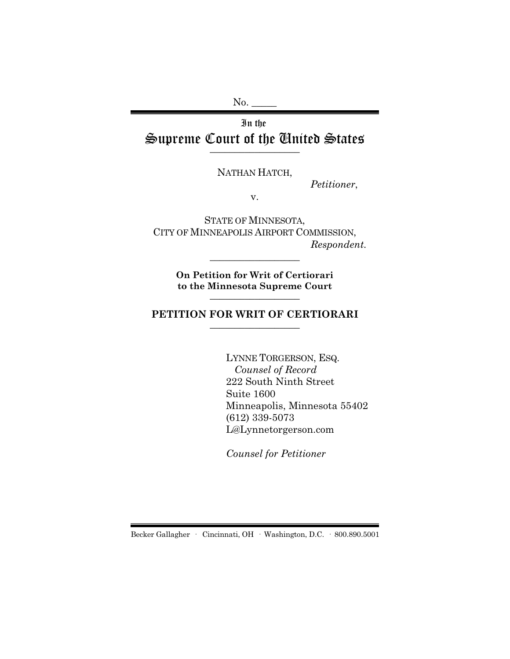No. \_\_\_\_\_

# In the Supreme Court of the United States  $\overline{\phantom{a}}$  , where  $\overline{\phantom{a}}$

NATHAN HATCH,

*Petitioner*,

v.

STATE OF MINNESOTA, CITY OF MINNEAPOLIS AIRPORT COMMISSION, *Respondent.*

> **On Petition for Writ of Certiorari to the Minnesota Supreme Court** \_\_\_\_\_\_\_\_\_\_\_\_\_\_\_\_\_\_

\_\_\_\_\_\_\_\_\_\_\_\_\_\_\_\_\_\_

### **PETITION FOR WRIT OF CERTIORARI** \_\_\_\_\_\_\_\_\_\_\_\_\_\_\_\_\_\_

LYNNE TORGERSON, ESQ. *Counsel of Record* 222 South Ninth Street Suite 1600 Minneapolis, Minnesota 55402 (612) 339-5073 L@Lynnetorgerson.com

*Counsel for Petitioner*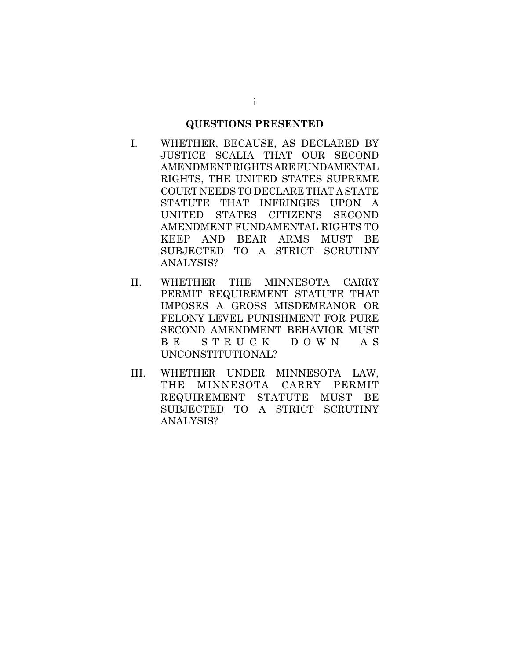### **QUESTIONS PRESENTED**

- I. WHETHER, BECAUSE, AS DECLARED BY JUSTICE SCALIA THAT OUR SECOND AMENDMENT RIGHTS ARE FUNDAMENTAL RIGHTS, THE UNITED STATES SUPREME COURT NEEDS TO DECLARE THAT A STATE STATUTE THAT INFRINGES UPON A UNITED STATES CITIZEN'S SECOND AMENDMENT FUNDAMENTAL RIGHTS TO KEEP AND BEAR ARMS MUST BE SUBJECTED TO A STRICT SCRUTINY ANALYSIS?
- II. WHETHER THE MINNESOTA CARRY PERMIT REQUIREMENT STATUTE THAT IMPOSES A GROSS MISDEMEANOR OR FELONY LEVEL PUNISHMENT FOR PURE SECOND AMENDMENT BEHAVIOR MUST B E S T R U C K D O W N A S UNCONSTITUTIONAL?
- III. WHETHER UNDER MINNESOTA LAW, THE MINNESOTA CARRY PERMIT REQUIREMENT STATUTE MUST BE SUBJECTED TO A STRICT SCRUTINY ANALYSIS?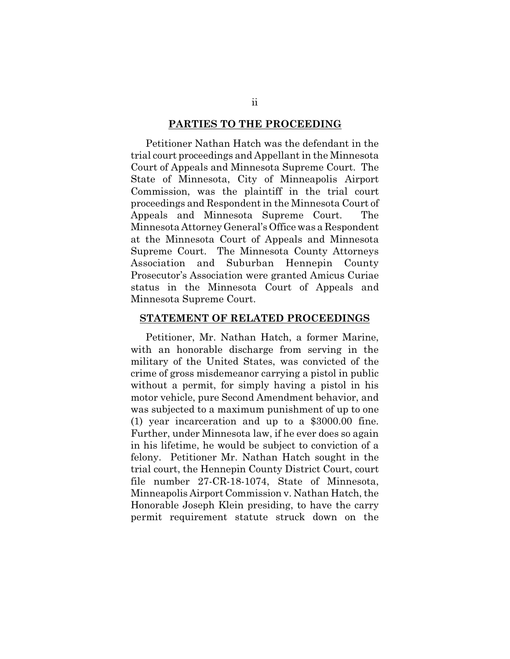#### **PARTIES TO THE PROCEEDING**

Petitioner Nathan Hatch was the defendant in the trial court proceedings and Appellant in the Minnesota Court of Appeals and Minnesota Supreme Court. The State of Minnesota, City of Minneapolis Airport Commission, was the plaintiff in the trial court proceedings and Respondent in the Minnesota Court of Appeals and Minnesota Supreme Court. The Minnesota Attorney General's Office was a Respondent at the Minnesota Court of Appeals and Minnesota Supreme Court. The Minnesota County Attorneys Association and Suburban Hennepin County Prosecutor's Association were granted Amicus Curiae status in the Minnesota Court of Appeals and Minnesota Supreme Court.

#### **STATEMENT OF RELATED PROCEEDINGS**

Petitioner, Mr. Nathan Hatch, a former Marine, with an honorable discharge from serving in the military of the United States, was convicted of the crime of gross misdemeanor carrying a pistol in public without a permit, for simply having a pistol in his motor vehicle, pure Second Amendment behavior, and was subjected to a maximum punishment of up to one (1) year incarceration and up to a \$3000.00 fine. Further, under Minnesota law, if he ever does so again in his lifetime, he would be subject to conviction of a felony. Petitioner Mr. Nathan Hatch sought in the trial court, the Hennepin County District Court, court file number 27-CR-18-1074, State of Minnesota, Minneapolis Airport Commission v. Nathan Hatch, the Honorable Joseph Klein presiding, to have the carry permit requirement statute struck down on the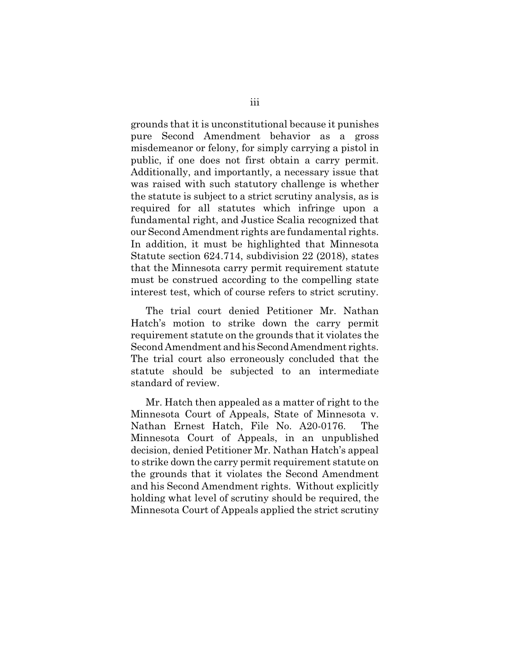grounds that it is unconstitutional because it punishes pure Second Amendment behavior as a gross misdemeanor or felony, for simply carrying a pistol in public, if one does not first obtain a carry permit. Additionally, and importantly, a necessary issue that was raised with such statutory challenge is whether the statute is subject to a strict scrutiny analysis, as is required for all statutes which infringe upon a fundamental right, and Justice Scalia recognized that our Second Amendment rights are fundamental rights. In addition, it must be highlighted that Minnesota Statute section 624.714, subdivision 22 (2018), states that the Minnesota carry permit requirement statute must be construed according to the compelling state interest test, which of course refers to strict scrutiny.

The trial court denied Petitioner Mr. Nathan Hatch's motion to strike down the carry permit requirement statute on the grounds that it violates the Second Amendment and his Second Amendment rights. The trial court also erroneously concluded that the statute should be subjected to an intermediate standard of review.

Mr. Hatch then appealed as a matter of right to the Minnesota Court of Appeals, State of Minnesota v. Nathan Ernest Hatch, File No. A20-0176. The Minnesota Court of Appeals, in an unpublished decision, denied Petitioner Mr. Nathan Hatch's appeal to strike down the carry permit requirement statute on the grounds that it violates the Second Amendment and his Second Amendment rights. Without explicitly holding what level of scrutiny should be required, the Minnesota Court of Appeals applied the strict scrutiny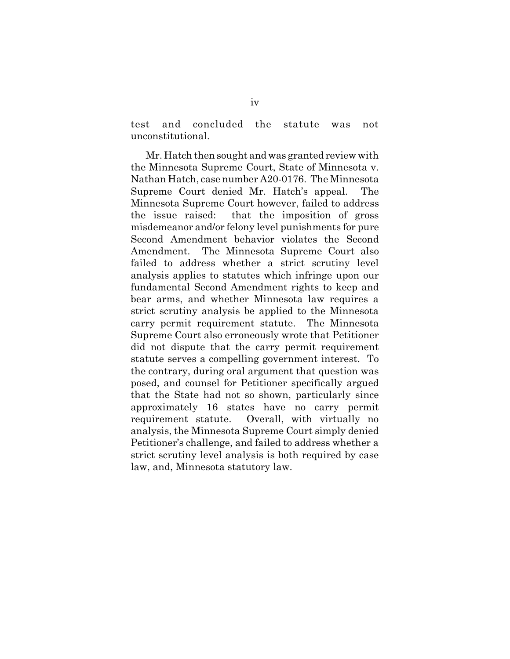test and concluded the statute was not unconstitutional.

Mr. Hatch then sought and was granted review with the Minnesota Supreme Court, State of Minnesota v. Nathan Hatch, case number A20-0176. The Minnesota Supreme Court denied Mr. Hatch's appeal. The Minnesota Supreme Court however, failed to address the issue raised: that the imposition of gross misdemeanor and/or felony level punishments for pure Second Amendment behavior violates the Second Amendment. The Minnesota Supreme Court also failed to address whether a strict scrutiny level analysis applies to statutes which infringe upon our fundamental Second Amendment rights to keep and bear arms, and whether Minnesota law requires a strict scrutiny analysis be applied to the Minnesota carry permit requirement statute. The Minnesota Supreme Court also erroneously wrote that Petitioner did not dispute that the carry permit requirement statute serves a compelling government interest. To the contrary, during oral argument that question was posed, and counsel for Petitioner specifically argued that the State had not so shown, particularly since approximately 16 states have no carry permit requirement statute. Overall, with virtually no analysis, the Minnesota Supreme Court simply denied Petitioner's challenge, and failed to address whether a strict scrutiny level analysis is both required by case law, and, Minnesota statutory law.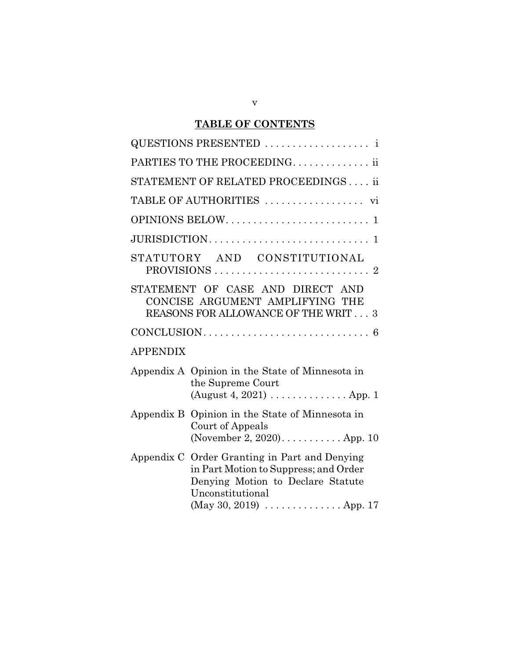# **TABLE OF CONTENTS**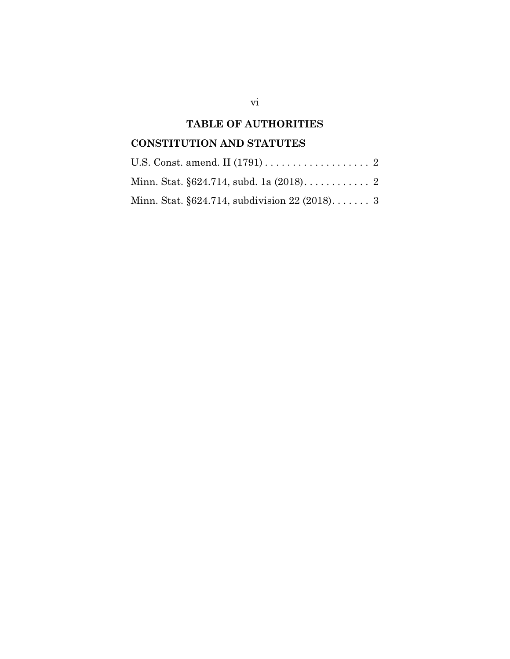# **TABLE OF AUTHORITIES**

# **CONSTITUTION AND STATUTES**

| Minn. Stat. $\S 624.714$ , subdivision 22 (2018) 3 |  |
|----------------------------------------------------|--|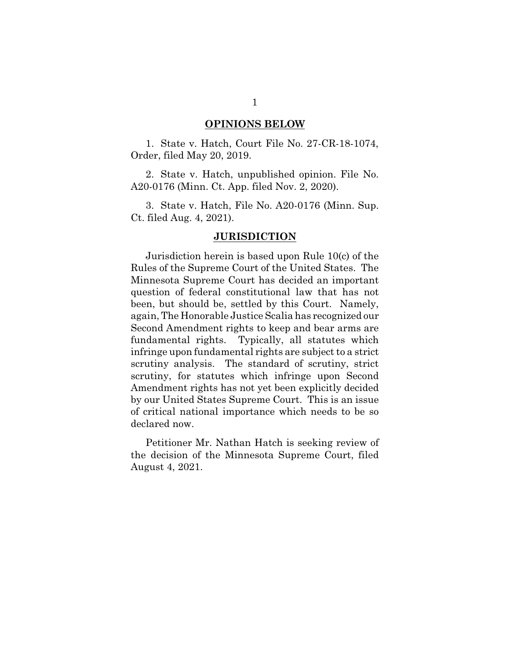#### **OPINIONS BELOW**

1. State v. Hatch, Court File No. 27-CR-18-1074, Order, filed May 20, 2019.

2. State v. Hatch, unpublished opinion. File No. A20-0176 (Minn. Ct. App. filed Nov. 2, 2020).

3. State v. Hatch, File No. A20-0176 (Minn. Sup. Ct. filed Aug. 4, 2021).

#### **JURISDICTION**

Jurisdiction herein is based upon Rule 10(c) of the Rules of the Supreme Court of the United States. The Minnesota Supreme Court has decided an important question of federal constitutional law that has not been, but should be, settled by this Court. Namely, again, The Honorable Justice Scalia has recognized our Second Amendment rights to keep and bear arms are fundamental rights. Typically, all statutes which infringe upon fundamental rights are subject to a strict scrutiny analysis. The standard of scrutiny, strict scrutiny, for statutes which infringe upon Second Amendment rights has not yet been explicitly decided by our United States Supreme Court. This is an issue of critical national importance which needs to be so declared now.

Petitioner Mr. Nathan Hatch is seeking review of the decision of the Minnesota Supreme Court, filed August 4, 2021.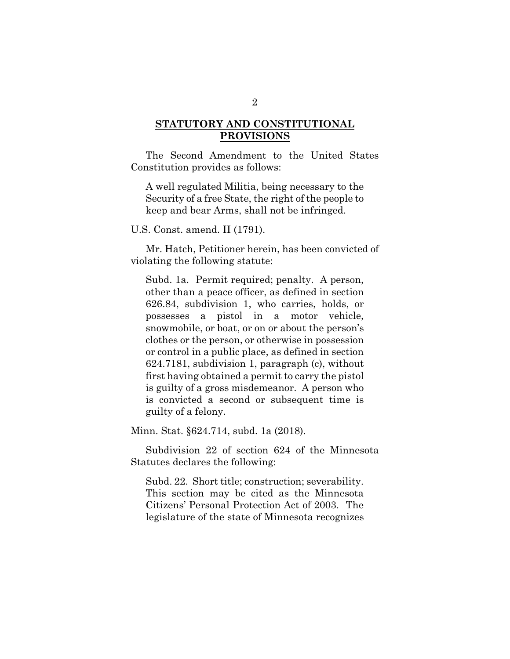# **STATUTORY AND CONSTITUTIONAL PROVISIONS**

The Second Amendment to the United States Constitution provides as follows:

A well regulated Militia, being necessary to the Security of a free State, the right of the people to keep and bear Arms, shall not be infringed.

U.S. Const. amend. II (1791).

Mr. Hatch, Petitioner herein, has been convicted of violating the following statute:

Subd. 1a. Permit required; penalty. A person, other than a peace officer, as defined in section 626.84, subdivision 1, who carries, holds, or possesses a pistol in a motor vehicle, snowmobile, or boat, or on or about the person's clothes or the person, or otherwise in possession or control in a public place, as defined in section 624.7181, subdivision 1, paragraph (c), without first having obtained a permit to carry the pistol is guilty of a gross misdemeanor. A person who is convicted a second or subsequent time is guilty of a felony.

Minn. Stat. §624.714, subd. 1a (2018).

Subdivision 22 of section 624 of the Minnesota Statutes declares the following:

Subd. 22. Short title; construction; severability. This section may be cited as the Minnesota Citizens' Personal Protection Act of 2003. The legislature of the state of Minnesota recognizes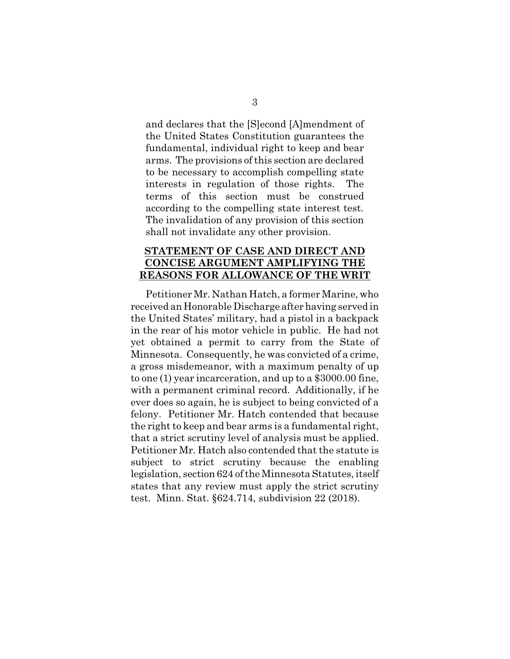and declares that the [S]econd [A]mendment of the United States Constitution guarantees the fundamental, individual right to keep and bear arms. The provisions of this section are declared to be necessary to accomplish compelling state interests in regulation of those rights. The terms of this section must be construed according to the compelling state interest test. The invalidation of any provision of this section shall not invalidate any other provision.

## **STATEMENT OF CASE AND DIRECT AND CONCISE ARGUMENT AMPLIFYING THE REASONS FOR ALLOWANCE OF THE WRIT**

Petitioner Mr. Nathan Hatch, a former Marine, who received an Honorable Discharge after having served in the United States' military, had a pistol in a backpack in the rear of his motor vehicle in public. He had not yet obtained a permit to carry from the State of Minnesota. Consequently, he was convicted of a crime, a gross misdemeanor, with a maximum penalty of up to one (1) year incarceration, and up to a \$3000.00 fine, with a permanent criminal record. Additionally, if he ever does so again, he is subject to being convicted of a felony. Petitioner Mr. Hatch contended that because the right to keep and bear arms is a fundamental right, that a strict scrutiny level of analysis must be applied. Petitioner Mr. Hatch also contended that the statute is subject to strict scrutiny because the enabling legislation, section 624 of the Minnesota Statutes, itself states that any review must apply the strict scrutiny test. Minn. Stat. §624.714, subdivision 22 (2018).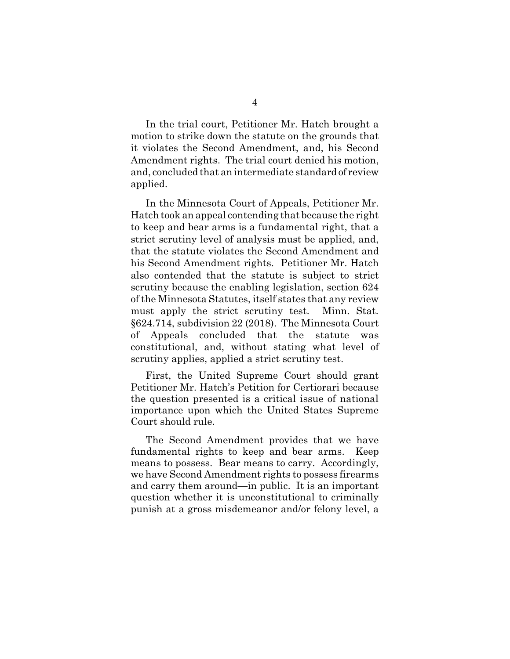In the trial court, Petitioner Mr. Hatch brought a motion to strike down the statute on the grounds that it violates the Second Amendment, and, his Second Amendment rights. The trial court denied his motion, and, concluded that an intermediate standard of review applied.

In the Minnesota Court of Appeals, Petitioner Mr. Hatch took an appeal contending that because the right to keep and bear arms is a fundamental right, that a strict scrutiny level of analysis must be applied, and, that the statute violates the Second Amendment and his Second Amendment rights. Petitioner Mr. Hatch also contended that the statute is subject to strict scrutiny because the enabling legislation, section 624 of the Minnesota Statutes, itself states that any review must apply the strict scrutiny test. Minn. Stat. §624.714, subdivision 22 (2018). The Minnesota Court of Appeals concluded that the statute was constitutional, and, without stating what level of scrutiny applies, applied a strict scrutiny test.

First, the United Supreme Court should grant Petitioner Mr. Hatch's Petition for Certiorari because the question presented is a critical issue of national importance upon which the United States Supreme Court should rule.

The Second Amendment provides that we have fundamental rights to keep and bear arms. Keep means to possess. Bear means to carry. Accordingly, we have Second Amendment rights to possess firearms and carry them around—in public. It is an important question whether it is unconstitutional to criminally punish at a gross misdemeanor and/or felony level, a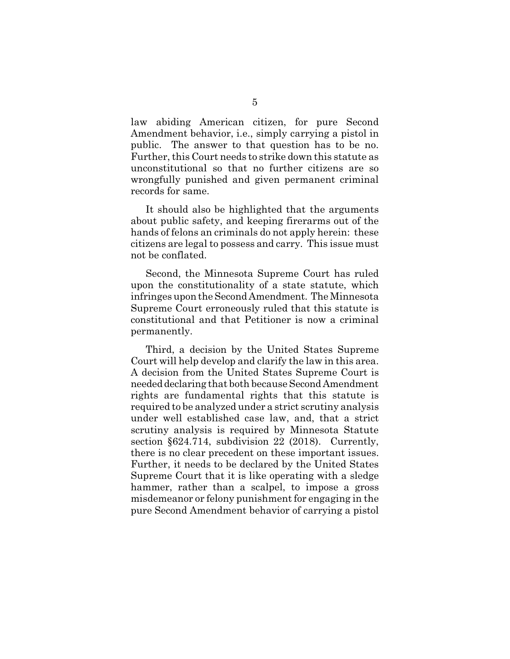law abiding American citizen, for pure Second Amendment behavior, i.e., simply carrying a pistol in public. The answer to that question has to be no. Further, this Court needs to strike down this statute as unconstitutional so that no further citizens are so wrongfully punished and given permanent criminal records for same.

It should also be highlighted that the arguments about public safety, and keeping firerarms out of the hands of felons an criminals do not apply herein: these citizens are legal to possess and carry. This issue must not be conflated.

Second, the Minnesota Supreme Court has ruled upon the constitutionality of a state statute, which infringes upon the Second Amendment. The Minnesota Supreme Court erroneously ruled that this statute is constitutional and that Petitioner is now a criminal permanently.

Third, a decision by the United States Supreme Court will help develop and clarify the law in this area. A decision from the United States Supreme Court is needed declaring that both because Second Amendment rights are fundamental rights that this statute is required to be analyzed under a strict scrutiny analysis under well established case law, and, that a strict scrutiny analysis is required by Minnesota Statute section §624.714, subdivision 22 (2018). Currently, there is no clear precedent on these important issues. Further, it needs to be declared by the United States Supreme Court that it is like operating with a sledge hammer, rather than a scalpel, to impose a gross misdemeanor or felony punishment for engaging in the pure Second Amendment behavior of carrying a pistol